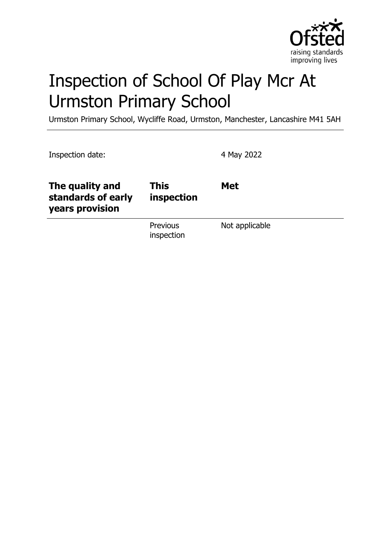

# Inspection of School Of Play Mcr At Urmston Primary School

Urmston Primary School, Wycliffe Road, Urmston, Manchester, Lancashire M41 5AH

| Inspection date:                                         |                           | 4 May 2022     |
|----------------------------------------------------------|---------------------------|----------------|
| The quality and<br>standards of early<br>years provision | <b>This</b><br>inspection | <b>Met</b>     |
|                                                          | Previous<br>inspection    | Not applicable |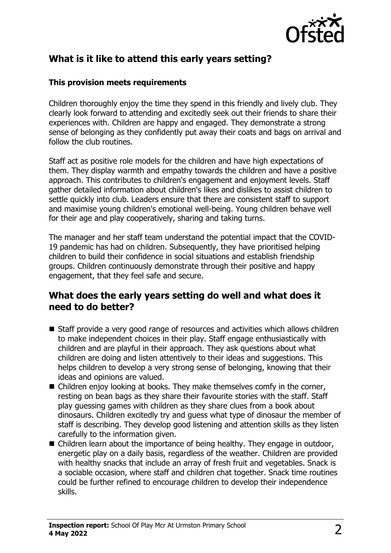

## **What is it like to attend this early years setting?**

#### **This provision meets requirements**

Children thoroughly enjoy the time they spend in this friendly and lively club. They clearly look forward to attending and excitedly seek out their friends to share their experiences with. Children are happy and engaged. They demonstrate a strong sense of belonging as they confidently put away their coats and bags on arrival and follow the club routines.

Staff act as positive role models for the children and have high expectations of them. They display warmth and empathy towards the children and have a positive approach. This contributes to children's engagement and enjoyment levels. Staff gather detailed information about children's likes and dislikes to assist children to settle quickly into club. Leaders ensure that there are consistent staff to support and maximise young children's emotional well-being. Young children behave well for their age and play cooperatively, sharing and taking turns.

The manager and her staff team understand the potential impact that the COVID-19 pandemic has had on children. Subsequently, they have prioritised helping children to build their confidence in social situations and establish friendship groups. Children continuously demonstrate through their positive and happy engagement, that they feel safe and secure.

#### **What does the early years setting do well and what does it need to do better?**

- Staff provide a very good range of resources and activities which allows children to make independent choices in their play. Staff engage enthusiastically with children and are playful in their approach. They ask questions about what children are doing and listen attentively to their ideas and suggestions. This helps children to develop a very strong sense of belonging, knowing that their ideas and opinions are valued.
- $\blacksquare$  Children enjoy looking at books. They make themselves comfy in the corner, resting on bean bags as they share their favourite stories with the staff. Staff play guessing games with children as they share clues from a book about dinosaurs. Children excitedly try and guess what type of dinosaur the member of staff is describing. They develop good listening and attention skills as they listen carefully to the information given.
- $\blacksquare$  Children learn about the importance of being healthy. They engage in outdoor, energetic play on a daily basis, regardless of the weather. Children are provided with healthy snacks that include an array of fresh fruit and vegetables. Snack is a sociable occasion, where staff and children chat together. Snack time routines could be further refined to encourage children to develop their independence skills.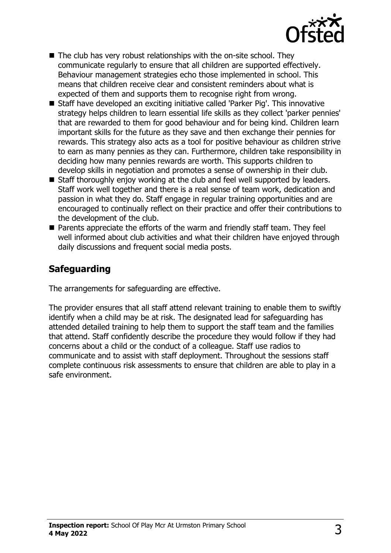

- $\blacksquare$  The club has very robust relationships with the on-site school. They communicate regularly to ensure that all children are supported effectively. Behaviour management strategies echo those implemented in school. This means that children receive clear and consistent reminders about what is expected of them and supports them to recognise right from wrong.
- Staff have developed an exciting initiative called 'Parker Pig'. This innovative strategy helps children to learn essential life skills as they collect 'parker pennies' that are rewarded to them for good behaviour and for being kind. Children learn important skills for the future as they save and then exchange their pennies for rewards. This strategy also acts as a tool for positive behaviour as children strive to earn as many pennies as they can. Furthermore, children take responsibility in deciding how many pennies rewards are worth. This supports children to develop skills in negotiation and promotes a sense of ownership in their club.
- $\blacksquare$  Staff thoroughly enjoy working at the club and feel well supported by leaders. Staff work well together and there is a real sense of team work, dedication and passion in what they do. Staff engage in regular training opportunities and are encouraged to continually reflect on their practice and offer their contributions to the development of the club.
- $\blacksquare$  Parents appreciate the efforts of the warm and friendly staff team. They feel well informed about club activities and what their children have enjoyed through daily discussions and frequent social media posts.

## **Safeguarding**

The arrangements for safeguarding are effective.

The provider ensures that all staff attend relevant training to enable them to swiftly identify when a child may be at risk. The designated lead for safeguarding has attended detailed training to help them to support the staff team and the families that attend. Staff confidently describe the procedure they would follow if they had concerns about a child or the conduct of a colleague. Staff use radios to communicate and to assist with staff deployment. Throughout the sessions staff complete continuous risk assessments to ensure that children are able to play in a safe environment.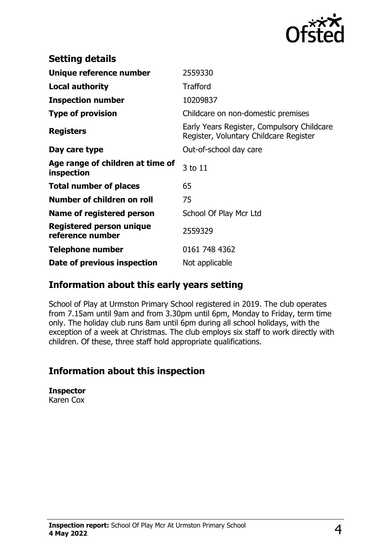

| <b>Setting details</b>                              |                                                                                      |
|-----------------------------------------------------|--------------------------------------------------------------------------------------|
| Unique reference number                             | 2559330                                                                              |
| <b>Local authority</b>                              | <b>Trafford</b>                                                                      |
| <b>Inspection number</b>                            | 10209837                                                                             |
| <b>Type of provision</b>                            | Childcare on non-domestic premises                                                   |
| <b>Registers</b>                                    | Early Years Register, Compulsory Childcare<br>Register, Voluntary Childcare Register |
| Day care type                                       | Out-of-school day care                                                               |
| Age range of children at time of<br>inspection      | 3 to 11                                                                              |
| <b>Total number of places</b>                       | 65                                                                                   |
| Number of children on roll                          | 75                                                                                   |
| Name of registered person                           | School Of Play Mcr Ltd                                                               |
| <b>Registered person unique</b><br>reference number | 2559329                                                                              |
| <b>Telephone number</b>                             | 0161 748 4362                                                                        |
| Date of previous inspection                         | Not applicable                                                                       |

## **Information about this early years setting**

School of Play at Urmston Primary School registered in 2019. The club operates from 7.15am until 9am and from 3.30pm until 6pm, Monday to Friday, term time only. The holiday club runs 8am until 6pm during all school holidays, with the exception of a week at Christmas. The club employs six staff to work directly with children. Of these, three staff hold appropriate qualifications.

## **Information about this inspection**

**Inspector** Karen Cox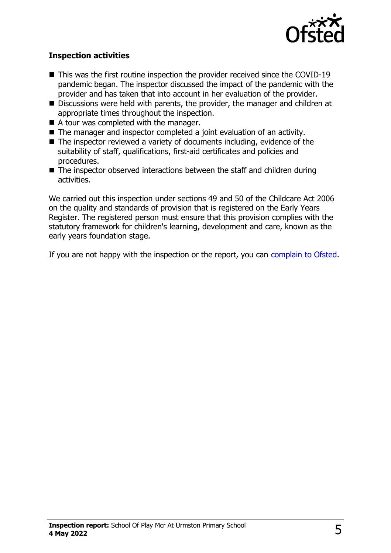

#### **Inspection activities**

- $\blacksquare$  This was the first routine inspection the provider received since the COVID-19 pandemic began. The inspector discussed the impact of the pandemic with the provider and has taken that into account in her evaluation of the provider.
- Discussions were held with parents, the provider, the manager and children at appropriate times throughout the inspection.
- $\blacksquare$  A tour was completed with the manager.
- $\blacksquare$  The manager and inspector completed a joint evaluation of an activity.
- $\blacksquare$  The inspector reviewed a variety of documents including, evidence of the suitability of staff, qualifications, first-aid certificates and policies and procedures.
- $\blacksquare$  The inspector observed interactions between the staff and children during activities.

We carried out this inspection under sections 49 and 50 of the Childcare Act 2006 on the quality and standards of provision that is registered on the Early Years Register. The registered person must ensure that this provision complies with the statutory framework for children's learning, development and care, known as the early years foundation stage.

If you are not happy with the inspection or the report, you can [complain to Ofsted](http://www.gov.uk/complain-ofsted-report).